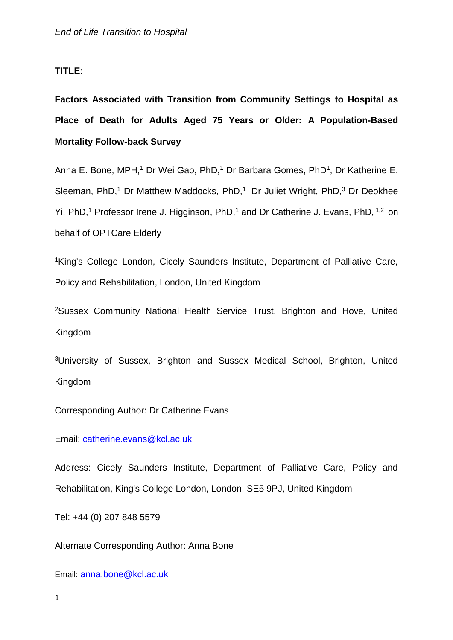#### **TITLE:**

**Factors Associated with Transition from Community Settings to Hospital as Place of Death for Adults Aged 75 Years or Older: A Population-Based Mortality Follow-back Survey**

Anna E. Bone, MPH,<sup>1</sup> Dr Wei Gao, PhD,<sup>1</sup> Dr Barbara Gomes, PhD<sup>1</sup>, Dr Katherine E. Sleeman, PhD,<sup>1</sup> Dr Matthew Maddocks, PhD,<sup>1</sup> Dr Juliet Wright, PhD,<sup>3</sup> Dr Deokhee Yi, PhD,<sup>1</sup> Professor Irene J. Higginson, PhD,<sup>1</sup> and Dr Catherine J. Evans, PhD, <sup>1,2</sup> on behalf of OPTCare Elderly

<sup>1</sup>King's College London, Cicely Saunders Institute, Department of Palliative Care, Policy and Rehabilitation, London, United Kingdom

<sup>2</sup>Sussex Community National Health Service Trust, Brighton and Hove, United Kingdom

<sup>3</sup>University of Sussex, Brighton and Sussex Medical School, Brighton, United Kingdom

Corresponding Author: Dr Catherine Evans

Email: [catherine.evans@kcl.ac.uk](mailto:catherine.evans@kcl.ac.uk)

Address: Cicely Saunders Institute, Department of Palliative Care, Policy and Rehabilitation, King's College London, London, SE5 9PJ, United Kingdom

Tel: +44 (0) 207 848 5579

Alternate Corresponding Author: Anna Bone

Email: [anna.bone@kcl.ac.uk](mailto:anna.bone@kcl.ac.uk)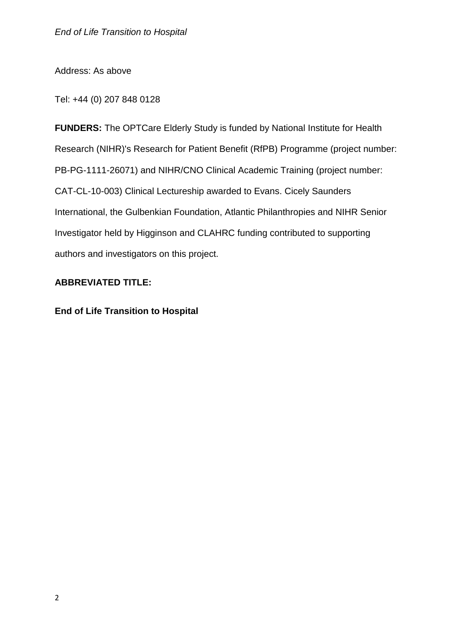Address: As above

Tel: +44 (0) 207 848 0128

**FUNDERS:** The OPTCare Elderly Study is funded by National Institute for Health Research (NIHR)'s Research for Patient Benefit (RfPB) Programme (project number: PB-PG-1111-26071) and NIHR/CNO Clinical Academic Training (project number: CAT-CL-10-003) Clinical Lectureship awarded to Evans. Cicely Saunders International, the Gulbenkian Foundation, Atlantic Philanthropies and NIHR Senior Investigator held by Higginson and CLAHRC funding contributed to supporting authors and investigators on this project.

### **ABBREVIATED TITLE:**

**End of Life Transition to Hospital**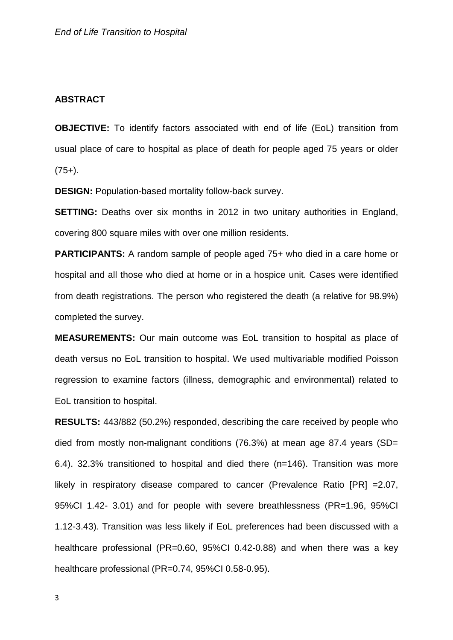#### **ABSTRACT**

**OBJECTIVE:** To identify factors associated with end of life (EoL) transition from usual place of care to hospital as place of death for people aged 75 years or older  $(75+)$ .

**DESIGN:** Population-based mortality follow-back survey.

**SETTING:** Deaths over six months in 2012 in two unitary authorities in England, covering 800 square miles with over one million residents.

**PARTICIPANTS:** A random sample of people aged 75+ who died in a care home or hospital and all those who died at home or in a hospice unit. Cases were identified from death registrations. The person who registered the death (a relative for 98.9%) completed the survey.

**MEASUREMENTS:** Our main outcome was EoL transition to hospital as place of death versus no EoL transition to hospital. We used multivariable modified Poisson regression to examine factors (illness, demographic and environmental) related to EoL transition to hospital.

**RESULTS:** 443/882 (50.2%) responded, describing the care received by people who died from mostly non-malignant conditions (76.3%) at mean age 87.4 years (SD= 6.4). 32.3% transitioned to hospital and died there (n=146). Transition was more likely in respiratory disease compared to cancer (Prevalence Ratio [PR] =2.07, 95%CI 1.42- 3.01) and for people with severe breathlessness (PR=1.96, 95%CI 1.12-3.43). Transition was less likely if EoL preferences had been discussed with a healthcare professional (PR=0.60, 95%CI 0.42-0.88) and when there was a key healthcare professional (PR=0.74, 95%CI 0.58-0.95).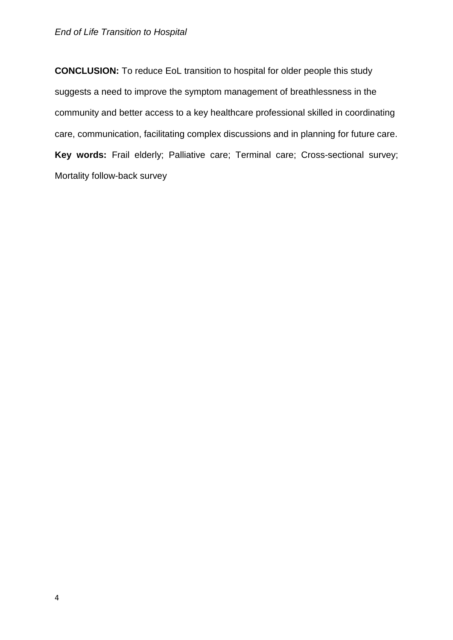**CONCLUSION:** To reduce EoL transition to hospital for older people this study suggests a need to improve the symptom management of breathlessness in the community and better access to a key healthcare professional skilled in coordinating care, communication, facilitating complex discussions and in planning for future care. **Key words:** Frail elderly; Palliative care; Terminal care; Cross-sectional survey; Mortality follow-back survey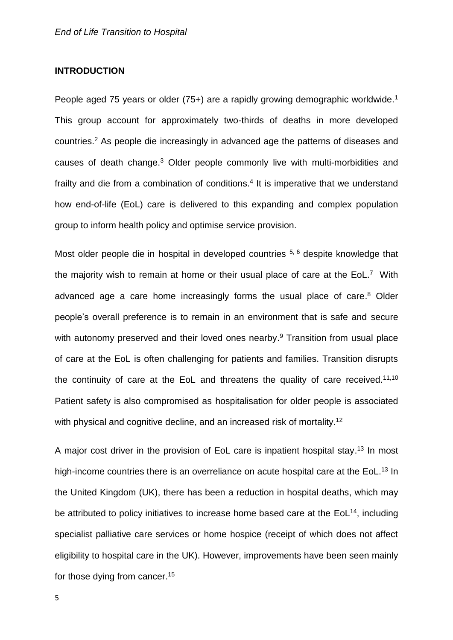#### **INTRODUCTION**

People aged 75 years or older (75+) are a rapidly growing demographic worldwide.<sup>[1](#page-21-0)</sup> This group account for approximately two-thirds of deaths in more developed countries. [2](#page-21-1) As people die increasingly in advanced age the patterns of diseases and causes of death change. [3](#page-21-2) Older people commonly live with multi-morbidities and frailty and die from a combination of conditions.<sup>[4](#page-21-3)</sup> It is imperative that we understand how end-of-life (EoL) care is delivered to this expanding and complex population group to inform health policy and optimise service provision.

Most older people die in hospital in developed countries <sup>[5,](#page-21-4) [6](#page-21-5)</sup> despite knowledge that the majority wish to remain at home or their usual place of care at the EoL.<sup>[7](#page-21-6)</sup> With advanced age a care home increasingly forms the usual place of care.<sup>[8](#page-21-7)</sup> Older people's overall preference is to remain in an environment that is safe and secure with autonomy preserved and their loved ones nearby.<sup>[9](#page-21-8)</sup> Transition from usual place of care at the EoL is often challenging for patients and families. Transition disrupts the continuity of care at the EoL and threatens the quality of care received.<sup>[11](#page-22-0)[,10](#page-22-1)</sup> Patient safety is also compromised as hospitalisation for older people is associated with physical and cognitive decline, and an increased risk of mortality.<sup>[12](#page-22-2)</sup>

A major cost driver in the provision of EoL care is inpatient hospital stay.<sup>[13](#page-22-3)</sup> In most high-income countries there is an overreliance on acute hospital care at the EoL.<sup>[13](#page-22-3)</sup> In the United Kingdom (UK), there has been a reduction in hospital deaths, which may be attributed to policy initiatives to increase home based care at the  $EoL^{14}$  $EoL^{14}$  $EoL^{14}$ , including specialist palliative care services or home hospice (receipt of which does not affect eligibility to hospital care in the UK). However, improvements have been seen mainly for those dying from cancer.<sup>[15](#page-22-5)</sup>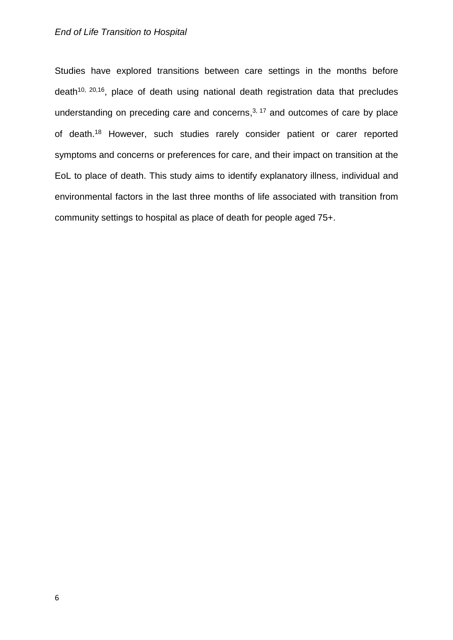#### *End of Life Transition to Hospital*

Studies have explored transitions between care settings in the months before  $death^{10, 20, 16}$  $death^{10, 20, 16}$  $death^{10, 20, 16}$  $death^{10, 20, 16}$ , place of death using national death registration data that precludes understanding on preceding care and concerns, $3, 17$  $3, 17$  and outcomes of care by place of death.[18](#page-22-8) However, such studies rarely consider patient or carer reported symptoms and concerns or preferences for care, and their impact on transition at the EoL to place of death. This study aims to identify explanatory illness, individual and environmental factors in the last three months of life associated with transition from community settings to hospital as place of death for people aged 75+.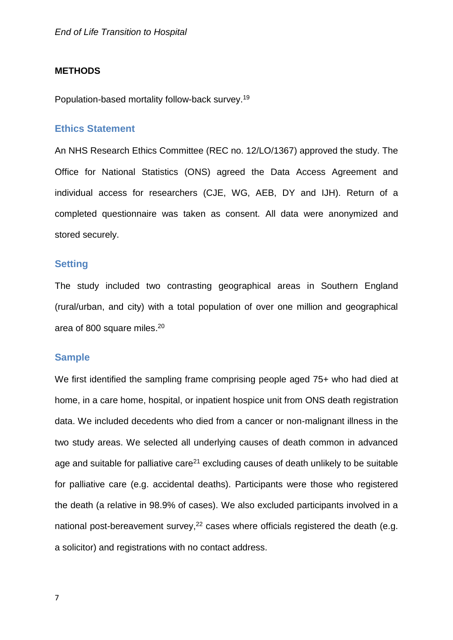#### **METHODS**

Population-based mortality follow-back survey. [19](#page-23-1)

#### **Ethics Statement**

An NHS Research Ethics Committee (REC no. 12/LO/1367) approved the study. The Office for National Statistics (ONS) agreed the Data Access Agreement and individual access for researchers (CJE, WG, AEB, DY and IJH). Return of a completed questionnaire was taken as consent. All data were anonymized and stored securely.

#### **Setting**

The study included two contrasting geographical areas in Southern England (rural/urban, and city) with a total population of over one million and geographical area of 800 square miles. [20](#page-23-0)

#### **Sample**

We first identified the sampling frame comprising people aged 75+ who had died at home, in a care home, hospital, or inpatient hospice unit from ONS death registration data. We included decedents who died from a cancer or non-malignant illness in the two study areas. We selected all underlying causes of death common in advanced age and suitable for palliative care<sup>[21](#page-23-2)</sup> excluding causes of death unlikely to be suitable for palliative care (e.g. accidental deaths). Participants were those who registered the death (a relative in 98.9% of cases). We also excluded participants involved in a national post-bereavement survey,<sup>[22](#page-23-3)</sup> cases where officials registered the death (e.g. a solicitor) and registrations with no contact address.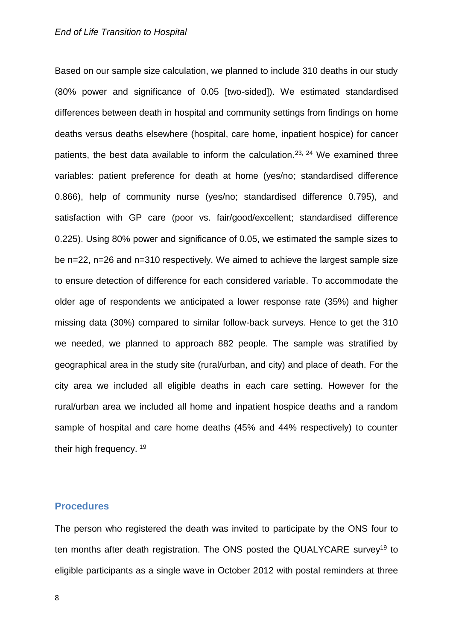Based on our sample size calculation, we planned to include 310 deaths in our study (80% power and significance of 0.05 [two-sided]). We estimated standardised differences between death in hospital and community settings from findings on home deaths versus deaths elsewhere (hospital, care home, inpatient hospice) for cancer patients, the best data available to inform the calculation.<sup>[23,](#page-23-4) [24](#page-23-5)</sup> We examined three variables: patient preference for death at home (yes/no; standardised difference 0.866), help of community nurse (yes/no; standardised difference 0.795), and satisfaction with GP care (poor vs. fair/good/excellent; standardised difference 0.225). Using 80% power and significance of 0.05, we estimated the sample sizes to be n=22, n=26 and n=310 respectively. We aimed to achieve the largest sample size to ensure detection of difference for each considered variable. To accommodate the older age of respondents we anticipated a lower response rate (35%) and higher missing data (30%) compared to similar follow-back surveys. Hence to get the 310 we needed, we planned to approach 882 people. The sample was stratified by geographical area in the study site (rural/urban, and city) and place of death. For the city area we included all eligible deaths in each care setting. However for the rural/urban area we included all home and inpatient hospice deaths and a random sample of hospital and care home deaths (45% and 44% respectively) to counter their high frequency. <sup>[19](#page-23-1)</sup>

#### **Procedures**

The person who registered the death was invited to participate by the ONS four to ten months after death registration. The ONS posted the QUALYCARE survey<sup>[19](#page-23-1)</sup> to eligible participants as a single wave in October 2012 with postal reminders at three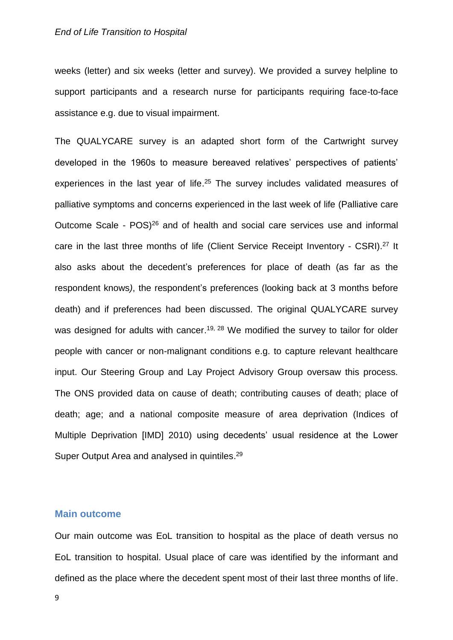weeks (letter) and six weeks (letter and survey). We provided a survey helpline to support participants and a research nurse for participants requiring face-to-face assistance e.g. due to visual impairment.

The QUALYCARE survey is an adapted short form of the Cartwright survey developed in the 1960s to measure bereaved relatives' perspectives of patients' experiences in the last year of life.<sup>[25](#page-23-6)</sup> The survey includes validated measures of palliative symptoms and concerns experienced in the last week of life (Palliative care Outcome Scale - POS)<sup>[26](#page-23-7)</sup> and of health and social care services use and informal care in the last three months of life (Client Service Receipt Inventory - CSRI).<sup>[27](#page-23-8)</sup> It also asks about the decedent's preferences for place of death (as far as the respondent knows*)*, the respondent's preferences (looking back at 3 months before death) and if preferences had been discussed. The original QUALYCARE survey was designed for adults with cancer.<sup>[19,](#page-23-1) [28](#page-23-9)</sup> We modified the survey to tailor for older people with cancer or non-malignant conditions e.g. to capture relevant healthcare input. Our Steering Group and Lay Project Advisory Group oversaw this process. The ONS provided data on cause of death; contributing causes of death; place of death; age; and a national composite measure of area deprivation (Indices of Multiple Deprivation [IMD] 2010) using decedents' usual residence at the Lower Super Output Area and analysed in quintiles.<sup>[29](#page-24-0)</sup>

#### **Main outcome**

Our main outcome was EoL transition to hospital as the place of death versus no EoL transition to hospital. Usual place of care was identified by the informant and defined as the place where the decedent spent most of their last three months of life.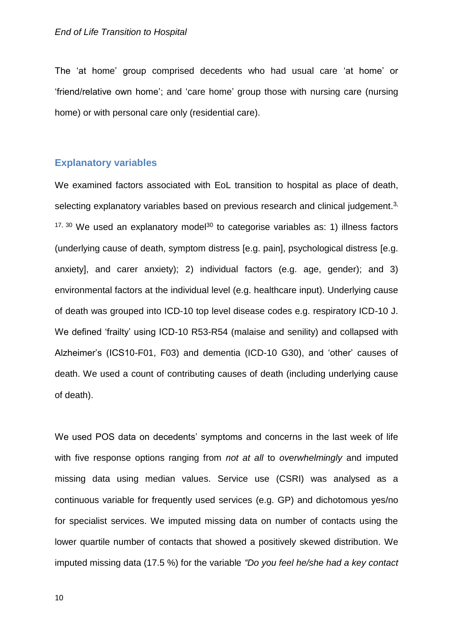The 'at home' group comprised decedents who had usual care 'at home' or 'friend/relative own home'; and 'care home' group those with nursing care (nursing home) or with personal care only (residential care).

#### **Explanatory variables**

We examined factors associated with EoL transition to hospital as place of death, selecting explanatory variables based on previous research and clinical judgement. $3$ ,  $17, 30$  $17, 30$  We used an explanatory model<sup>[30](#page-24-1)</sup> to categorise variables as: 1) illness factors (underlying cause of death, symptom distress [e.g. pain], psychological distress [e.g. anxiety], and carer anxiety); 2) individual factors (e.g. age, gender); and 3) environmental factors at the individual level (e.g. healthcare input). Underlying cause of death was grouped into ICD-10 top level disease codes e.g. respiratory ICD-10 J. We defined 'frailty' using ICD-10 R53-R54 (malaise and senility) and collapsed with Alzheimer's (ICS10-F01, F03) and dementia (ICD-10 G30), and 'other' causes of death. We used a count of contributing causes of death (including underlying cause of death).

We used POS data on decedents' symptoms and concerns in the last week of life with five response options ranging from *not at all* to *overwhelmingly* and imputed missing data using median values. Service use (CSRI) was analysed as a continuous variable for frequently used services (e.g. GP) and dichotomous yes/no for specialist services. We imputed missing data on number of contacts using the lower quartile number of contacts that showed a positively skewed distribution. We imputed missing data (17.5 %) for the variable *"Do you feel he/she had a key contact*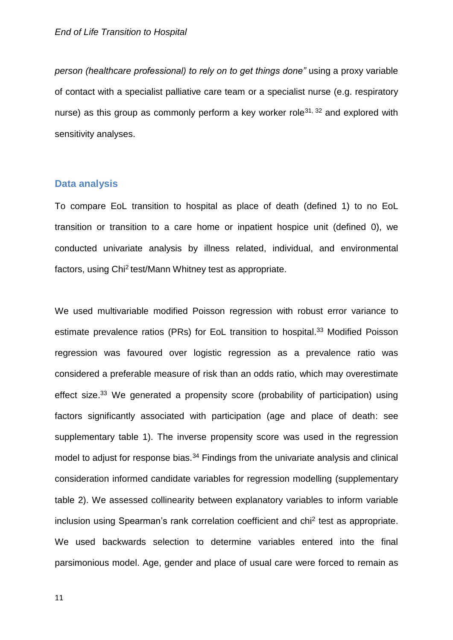*person (healthcare professional) to rely on to get things done"* using a proxy variable of contact with a specialist palliative care team or a specialist nurse (e.g. respiratory nurse) as this group as commonly perform a key worker role<sup>[31,](#page-24-2) [32](#page-24-3)</sup> and explored with sensitivity analyses.

#### **Data analysis**

To compare EoL transition to hospital as place of death (defined 1) to no EoL transition or transition to a care home or inpatient hospice unit (defined 0), we conducted univariate analysis by illness related, individual, and environmental factors, using Chi<sup>2</sup> test/Mann Whitney test as appropriate.

We used multivariable modified Poisson regression with robust error variance to estimate prevalence ratios (PRs) for EoL transition to hospital.<sup>[33](#page-24-4)</sup> Modified Poisson regression was favoured over logistic regression as a prevalence ratio was considered a preferable measure of risk than an odds ratio, which may overestimate effect size.<sup>[33](#page-24-4)</sup> We generated a propensity score (probability of participation) using factors significantly associated with participation (age and place of death: see supplementary table 1). The inverse propensity score was used in the regression model to adjust for response bias.<sup>[34](#page-24-5)</sup> Findings from the univariate analysis and clinical consideration informed candidate variables for regression modelling (supplementary table 2). We assessed collinearity between explanatory variables to inform variable inclusion using Spearman's rank correlation coefficient and chi<sup>2</sup> test as appropriate. We used backwards selection to determine variables entered into the final parsimonious model. Age, gender and place of usual care were forced to remain as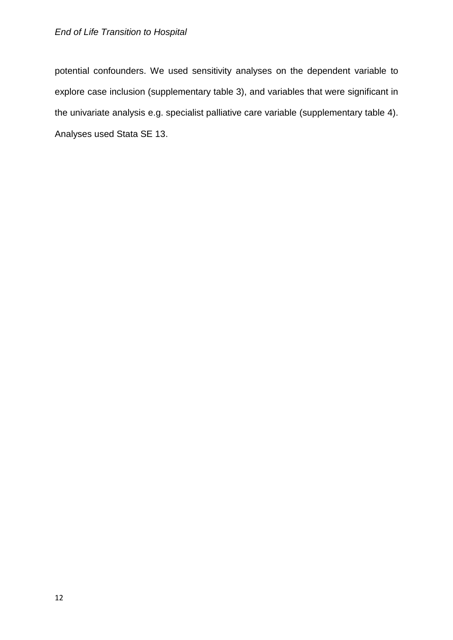potential confounders. We used sensitivity analyses on the dependent variable to explore case inclusion (supplementary table 3), and variables that were significant in the univariate analysis e.g. specialist palliative care variable (supplementary table 4). Analyses used Stata SE 13.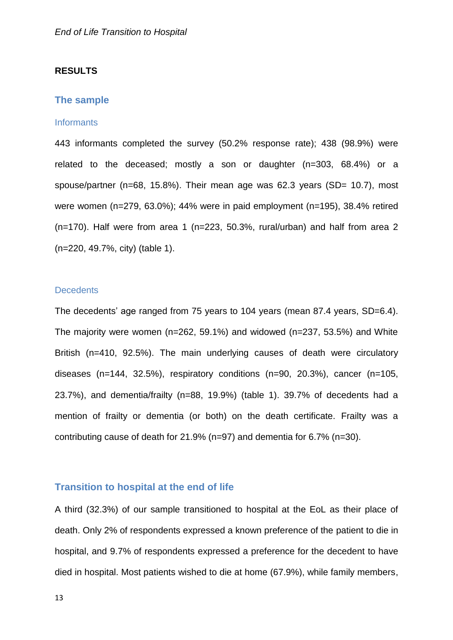#### **RESULTS**

#### **The sample**

#### **Informants**

443 informants completed the survey (50.2% response rate); 438 (98.9%) were related to the deceased; mostly a son or daughter (n=303, 68.4%) or a spouse/partner (n=68, 15.8%). Their mean age was 62.3 years (SD= 10.7), most were women (n=279, 63.0%); 44% were in paid employment (n=195), 38.4% retired (n=170). Half were from area 1 (n=223, 50.3%, rural/urban) and half from area 2 (n=220, 49.7%, city) (table 1).

#### **Decedents**

The decedents' age ranged from 75 years to 104 years (mean 87.4 years, SD=6.4). The majority were women (n=262, 59.1%) and widowed (n=237, 53.5%) and White British (n=410, 92.5%). The main underlying causes of death were circulatory diseases (n=144, 32.5%), respiratory conditions (n=90, 20.3%), cancer (n=105, 23.7%), and dementia/frailty (n=88, 19.9%) (table 1). 39.7% of decedents had a mention of frailty or dementia (or both) on the death certificate. Frailty was a contributing cause of death for 21.9% (n=97) and dementia for 6.7% (n=30).

#### **Transition to hospital at the end of life**

A third (32.3%) of our sample transitioned to hospital at the EoL as their place of death. Only 2% of respondents expressed a known preference of the patient to die in hospital, and 9.7% of respondents expressed a preference for the decedent to have died in hospital. Most patients wished to die at home (67.9%), while family members,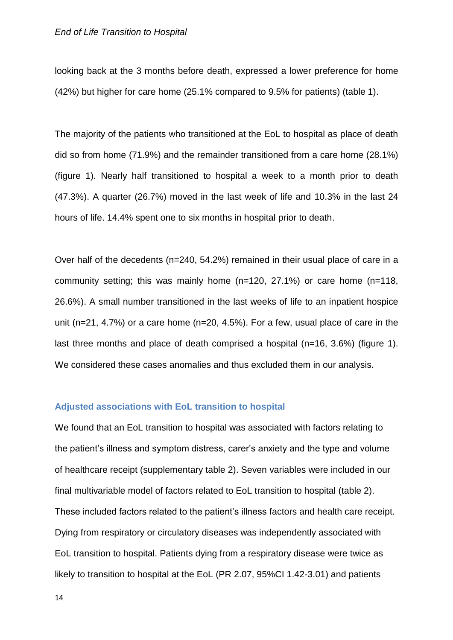#### *End of Life Transition to Hospital*

looking back at the 3 months before death, expressed a lower preference for home (42%) but higher for care home (25.1% compared to 9.5% for patients) (table 1).

The majority of the patients who transitioned at the EoL to hospital as place of death did so from home (71.9%) and the remainder transitioned from a care home (28.1%) (figure 1). Nearly half transitioned to hospital a week to a month prior to death (47.3%). A quarter (26.7%) moved in the last week of life and 10.3% in the last 24 hours of life. 14.4% spent one to six months in hospital prior to death.

Over half of the decedents (n=240, 54.2%) remained in their usual place of care in a community setting; this was mainly home (n=120, 27.1%) or care home (n=118, 26.6%). A small number transitioned in the last weeks of life to an inpatient hospice unit (n=21, 4.7%) or a care home (n=20, 4.5%). For a few, usual place of care in the last three months and place of death comprised a hospital (n=16, 3.6%) (figure 1). We considered these cases anomalies and thus excluded them in our analysis.

#### **Adjusted associations with EoL transition to hospital**

We found that an EoL transition to hospital was associated with factors relating to the patient's illness and symptom distress, carer's anxiety and the type and volume of healthcare receipt (supplementary table 2). Seven variables were included in our final multivariable model of factors related to EoL transition to hospital (table 2). These included factors related to the patient's illness factors and health care receipt. Dying from respiratory or circulatory diseases was independently associated with EoL transition to hospital. Patients dying from a respiratory disease were twice as likely to transition to hospital at the EoL (PR 2.07, 95%CI 1.42-3.01) and patients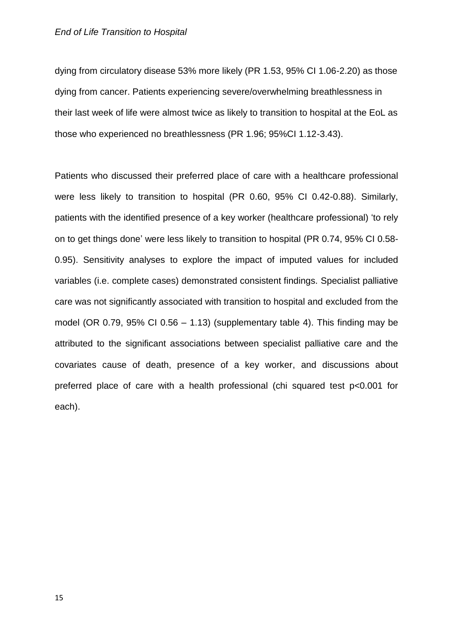dying from circulatory disease 53% more likely (PR 1.53, 95% CI 1.06-2.20) as those dying from cancer. Patients experiencing severe/overwhelming breathlessness in their last week of life were almost twice as likely to transition to hospital at the EoL as those who experienced no breathlessness (PR 1.96; 95%CI 1.12-3.43).

Patients who discussed their preferred place of care with a healthcare professional were less likely to transition to hospital (PR 0.60, 95% CI 0.42-0.88). Similarly, patients with the identified presence of a key worker (healthcare professional) 'to rely on to get things done' were less likely to transition to hospital (PR 0.74, 95% CI 0.58- 0.95). Sensitivity analyses to explore the impact of imputed values for included variables (i.e. complete cases) demonstrated consistent findings. Specialist palliative care was not significantly associated with transition to hospital and excluded from the model (OR 0.79, 95% CI 0.56 – 1.13) (supplementary table 4). This finding may be attributed to the significant associations between specialist palliative care and the covariates cause of death, presence of a key worker, and discussions about preferred place of care with a health professional (chi squared test p<0.001 for each).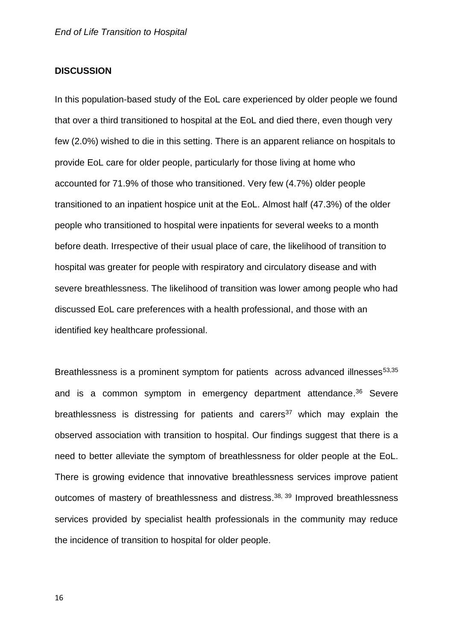#### **DISCUSSION**

In this population-based study of the EoL care experienced by older people we found that over a third transitioned to hospital at the EoL and died there, even though very few (2.0%) wished to die in this setting. There is an apparent reliance on hospitals to provide EoL care for older people, particularly for those living at home who accounted for 71.9% of those who transitioned. Very few (4.7%) older people transitioned to an inpatient hospice unit at the EoL. Almost half (47.3%) of the older people who transitioned to hospital were inpatients for several weeks to a month before death. Irrespective of their usual place of care, the likelihood of transition to hospital was greater for people with respiratory and circulatory disease and with severe breathlessness. The likelihood of transition was lower among people who had discussed EoL care preferences with a health professional, and those with an identified key healthcare professional.

Breathlessness is a prominent symptom for patients across advanced illnesses<sup>5[3,35](#page-24-6)</sup> and is a common symptom in emergency department attendance. [36](#page-24-7) Severe breathlessness is distressing for patients and carers<sup>[37](#page-24-8)</sup> which may explain the observed association with transition to hospital. Our findings suggest that there is a need to better alleviate the symptom of breathlessness for older people at the EoL. There is growing evidence that innovative breathlessness services improve patient outcomes of mastery of breathlessness and distress.<sup>[38,](#page-24-9) [39](#page-25-0)</sup> Improved breathlessness services provided by specialist health professionals in the community may reduce the incidence of transition to hospital for older people.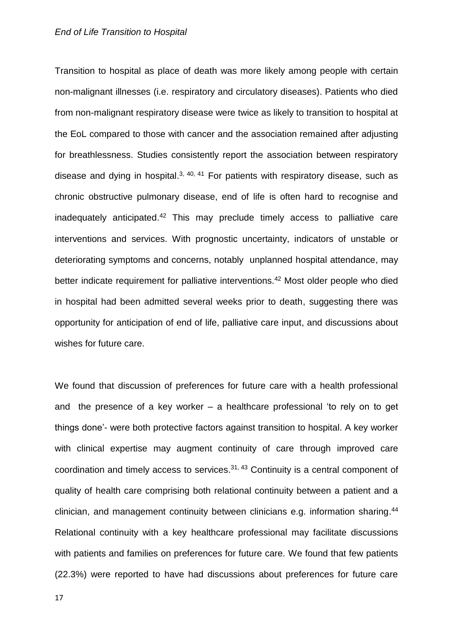#### *End of Life Transition to Hospital*

Transition to hospital as place of death was more likely among people with certain non-malignant illnesses (i.e. respiratory and circulatory diseases). Patients who died from non-malignant respiratory disease were twice as likely to transition to hospital at the EoL compared to those with cancer and the association remained after adjusting for breathlessness. Studies consistently report the association between respiratory disease and dying in hospital. $3, 40, 41$  $3, 40, 41$  $3, 40, 41$  For patients with respiratory disease, such as chronic obstructive pulmonary disease, end of life is often hard to recognise and inadequately anticipated. [42](#page-25-3) This may preclude timely access to palliative care interventions and services. With prognostic uncertainty, indicators of unstable or deteriorating symptoms and concerns, notably unplanned hospital attendance, may better indicate requirement for palliative interventions.<sup>[42](#page-25-3)</sup> Most older people who died in hospital had been admitted several weeks prior to death, suggesting there was opportunity for anticipation of end of life, palliative care input, and discussions about wishes for future care.

We found that discussion of preferences for future care with a health professional and the presence of a key worker – a healthcare professional 'to rely on to get things done'- were both protective factors against transition to hospital. A key worker with clinical expertise may augment continuity of care through improved care coordination and timely access to services. [31,](#page-24-2) [43](#page-25-4) Continuity is a central component of quality of health care comprising both relational continuity between a patient and a clinician, and management continuity between clinicians e.g. information sharing. [44](#page-25-5) Relational continuity with a key healthcare professional may facilitate discussions with patients and families on preferences for future care. We found that few patients (22.3%) were reported to have had discussions about preferences for future care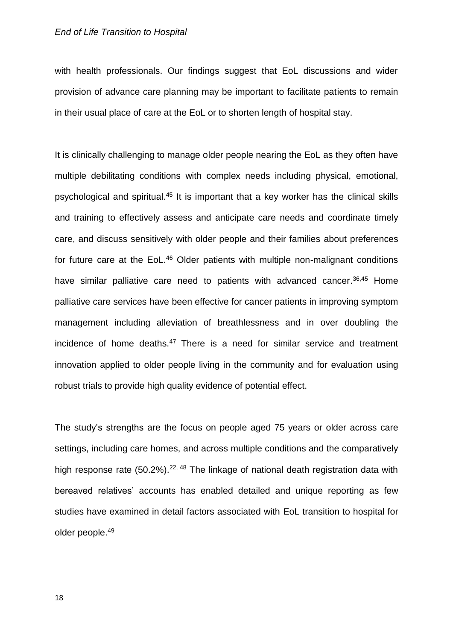with health professionals. Our findings suggest that EoL discussions and wider provision of advance care planning may be important to facilitate patients to remain in their usual place of care at the EoL or to shorten length of hospital stay.

It is clinically challenging to manage older people nearing the EoL as they often have multiple debilitating conditions with complex needs including physical, emotional, psychological and spiritual.<sup>[45](#page-25-6)</sup> It is important that a key worker has the clinical skills and training to effectively assess and anticipate care needs and coordinate timely care, and discuss sensitively with older people and their families about preferences for future care at the EoL.<sup>[46](#page-25-7)</sup> Older patients with multiple non-malignant conditions have similar palliative care need to patients with advanced cancer.<sup>[36,](#page-24-7)[45](#page-25-6)</sup> Home palliative care services have been effective for cancer patients in improving symptom management including alleviation of breathlessness and in over doubling the incidence of home deaths.<sup>[47](#page-26-0)</sup> There is a need for similar service and treatment innovation applied to older people living in the community and for evaluation using robust trials to provide high quality evidence of potential effect.

The study's strengths are the focus on people aged 75 years or older across care settings, including care homes, and across multiple conditions and the comparatively high response rate (50.2%).<sup>[22,](#page-23-3) [48](#page-26-1)</sup> The linkage of national death registration data with bereaved relatives' accounts has enabled detailed and unique reporting as few studies have examined in detail factors associated with EoL transition to hospital for older people. [49](#page-26-2)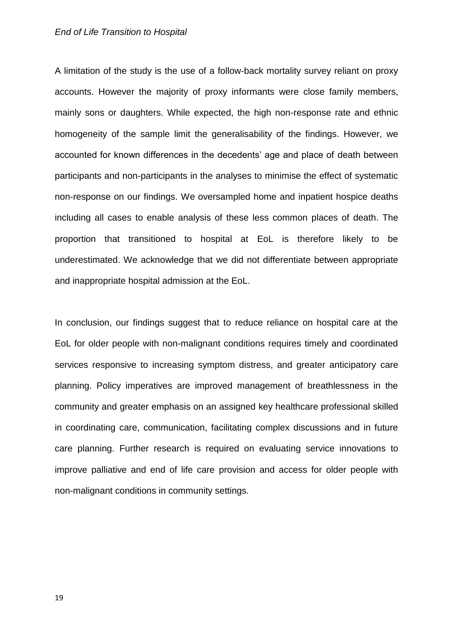#### *End of Life Transition to Hospital*

A limitation of the study is the use of a follow-back mortality survey reliant on proxy accounts. However the majority of proxy informants were close family members, mainly sons or daughters. While expected, the high non-response rate and ethnic homogeneity of the sample limit the generalisability of the findings. However, we accounted for known differences in the decedents' age and place of death between participants and non-participants in the analyses to minimise the effect of systematic non-response on our findings. We oversampled home and inpatient hospice deaths including all cases to enable analysis of these less common places of death. The proportion that transitioned to hospital at EoL is therefore likely to be underestimated. We acknowledge that we did not differentiate between appropriate and inappropriate hospital admission at the EoL.

In conclusion, our findings suggest that to reduce reliance on hospital care at the EoL for older people with non-malignant conditions requires timely and coordinated services responsive to increasing symptom distress, and greater anticipatory care planning. Policy imperatives are improved management of breathlessness in the community and greater emphasis on an assigned key healthcare professional skilled in coordinating care, communication, facilitating complex discussions and in future care planning. Further research is required on evaluating service innovations to improve palliative and end of life care provision and access for older people with non-malignant conditions in community settings.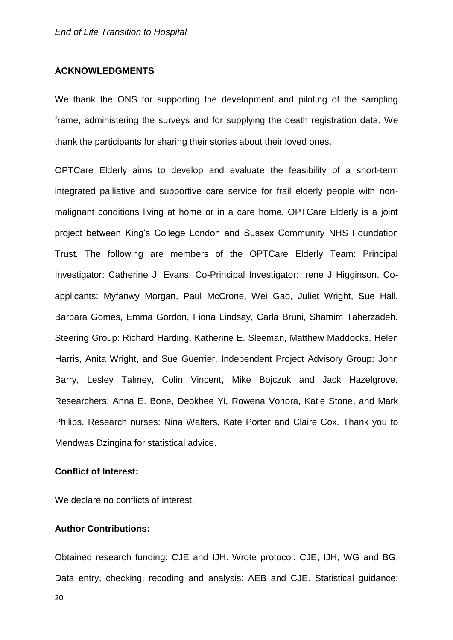#### **ACKNOWLEDGMENTS**

We thank the ONS for supporting the development and piloting of the sampling frame, administering the surveys and for supplying the death registration data. We thank the participants for sharing their stories about their loved ones.

OPTCare Elderly aims to develop and evaluate the feasibility of a short-term integrated palliative and supportive care service for frail elderly people with nonmalignant conditions living at home or in a care home. OPTCare Elderly is a joint project between King's College London and Sussex Community NHS Foundation Trust. The following are members of the OPTCare Elderly Team: Principal Investigator: Catherine J. Evans. Co-Principal Investigator: Irene J Higginson. Coapplicants: Myfanwy Morgan, Paul McCrone, Wei Gao, Juliet Wright, Sue Hall, Barbara Gomes, Emma Gordon, Fiona Lindsay, Carla Bruni, Shamim Taherzadeh. Steering Group: Richard Harding, Katherine E. Sleeman, Matthew Maddocks, Helen Harris, Anita Wright, and Sue Guerrier. Independent Project Advisory Group: John Barry, Lesley Talmey, Colin Vincent, Mike Bojczuk and Jack Hazelgrove. Researchers: Anna E. Bone, Deokhee Yi, Rowena Vohora, Katie Stone, and Mark Philips. Research nurses: Nina Walters, Kate Porter and Claire Cox. Thank you to Mendwas Dzingina for statistical advice.

#### **Conflict of Interest:**

We declare no conflicts of interest.

#### **Author Contributions:**

20

Obtained research funding: CJE and IJH. Wrote protocol: CJE, IJH, WG and BG. Data entry, checking, recoding and analysis: AEB and CJE. Statistical guidance: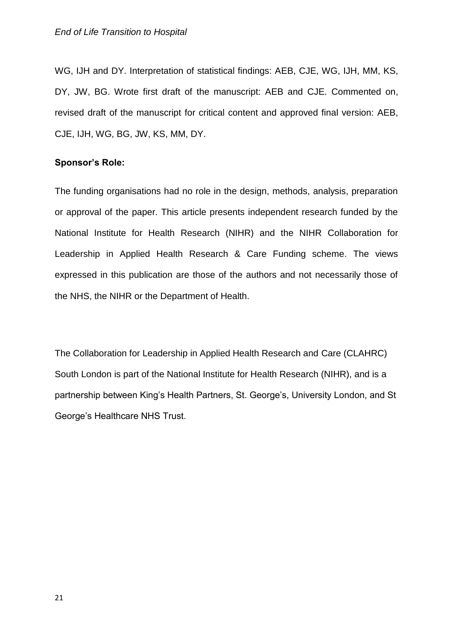WG, IJH and DY. Interpretation of statistical findings: AEB, CJE, WG, IJH, MM, KS, DY, JW, BG. Wrote first draft of the manuscript: AEB and CJE. Commented on, revised draft of the manuscript for critical content and approved final version: AEB, CJE, IJH, WG, BG, JW, KS, MM, DY.

#### **Sponsor's Role:**

The funding organisations had no role in the design, methods, analysis, preparation or approval of the paper. This article presents independent research funded by the National Institute for Health Research (NIHR) and the NIHR Collaboration for Leadership in Applied Health Research & Care Funding scheme. The views expressed in this publication are those of the authors and not necessarily those of the NHS, the NIHR or the Department of Health.

The Collaboration for Leadership in Applied Health Research and Care (CLAHRC) South London is part of the National Institute for Health Research (NIHR), and is a partnership between King's Health Partners, St. George's, University London, and St George's Healthcare NHS Trust.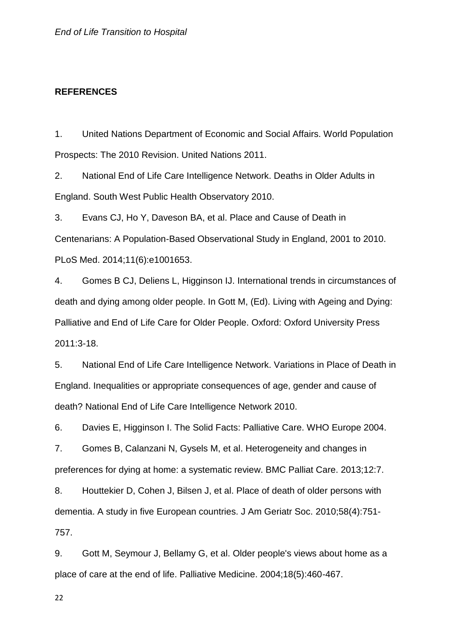#### **REFERENCES**

<span id="page-21-0"></span>1. United Nations Department of Economic and Social Affairs. World Population Prospects: The 2010 Revision. United Nations 2011.

<span id="page-21-1"></span>2. National End of Life Care Intelligence Network. Deaths in Older Adults in England. South West Public Health Observatory 2010.

<span id="page-21-2"></span>3. Evans CJ, Ho Y, Daveson BA, et al. Place and Cause of Death in Centenarians: A Population-Based Observational Study in England, 2001 to 2010. PLoS Med. 2014;11(6):e1001653.

<span id="page-21-3"></span>4. Gomes B CJ, Deliens L, Higginson IJ. International trends in circumstances of death and dying among older people. In Gott M, (Ed). Living with Ageing and Dying: Palliative and End of Life Care for Older People. Oxford: Oxford University Press 2011:3-18.

<span id="page-21-4"></span>5. National End of Life Care Intelligence Network. Variations in Place of Death in England. Inequalities or appropriate consequences of age, gender and cause of death? National End of Life Care Intelligence Network 2010.

<span id="page-21-5"></span>6. Davies E, Higginson I. The Solid Facts: Palliative Care. WHO Europe 2004.

<span id="page-21-6"></span>7. Gomes B, Calanzani N, Gysels M, et al. Heterogeneity and changes in preferences for dying at home: a systematic review. BMC Palliat Care. 2013;12:7.

<span id="page-21-7"></span>8. Houttekier D, Cohen J, Bilsen J, et al. Place of death of older persons with dementia. A study in five European countries. J Am Geriatr Soc. 2010;58(4):751- 757.

<span id="page-21-8"></span>9. Gott M, Seymour J, Bellamy G, et al. Older people's views about home as a place of care at the end of life. Palliative Medicine. 2004;18(5):460-467.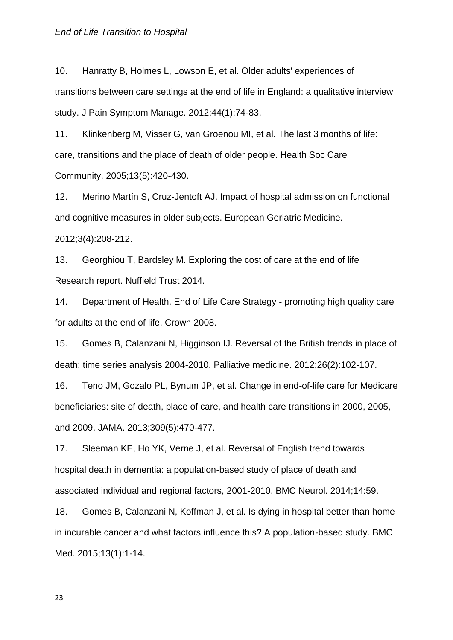<span id="page-22-1"></span>10. Hanratty B, Holmes L, Lowson E, et al. Older adults' experiences of transitions between care settings at the end of life in England: a qualitative interview study. J Pain Symptom Manage. 2012;44(1):74-83.

<span id="page-22-0"></span>11. Klinkenberg M, Visser G, van Groenou MI, et al. The last 3 months of life: care, transitions and the place of death of older people. Health Soc Care Community. 2005;13(5):420-430.

<span id="page-22-2"></span>12. Merino Martín S, Cruz-Jentoft AJ. Impact of hospital admission on functional and cognitive measures in older subjects. European Geriatric Medicine.

2012;3(4):208-212.

<span id="page-22-3"></span>13. Georghiou T, Bardsley M. Exploring the cost of care at the end of life Research report. Nuffield Trust 2014.

<span id="page-22-4"></span>14. Department of Health. End of Life Care Strategy - promoting high quality care for adults at the end of life. Crown 2008.

<span id="page-22-5"></span>15. Gomes B, Calanzani N, Higginson IJ. Reversal of the British trends in place of death: time series analysis 2004-2010. Palliative medicine. 2012;26(2):102-107.

<span id="page-22-6"></span>16. Teno JM, Gozalo PL, Bynum JP, et al. Change in end-of-life care for Medicare beneficiaries: site of death, place of care, and health care transitions in 2000, 2005, and 2009. JAMA. 2013;309(5):470-477.

<span id="page-22-7"></span>17. Sleeman KE, Ho YK, Verne J, et al. Reversal of English trend towards hospital death in dementia: a population-based study of place of death and associated individual and regional factors, 2001-2010. BMC Neurol. 2014;14:59.

<span id="page-22-8"></span>18. Gomes B, Calanzani N, Koffman J, et al. Is dying in hospital better than home in incurable cancer and what factors influence this? A population-based study. BMC Med. 2015;13(1):1-14.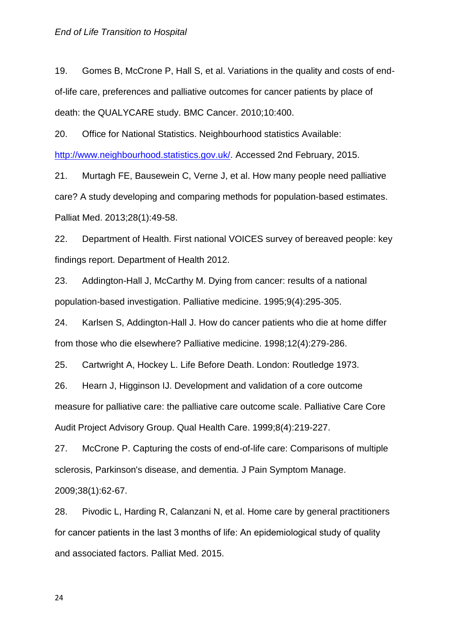<span id="page-23-1"></span>19. Gomes B, McCrone P, Hall S, et al. Variations in the quality and costs of endof-life care, preferences and palliative outcomes for cancer patients by place of death: the QUALYCARE study. BMC Cancer. 2010;10:400.

<span id="page-23-0"></span>20. Office for National Statistics. Neighbourhood statistics Available: [http://www.neighbourhood.statistics.gov.uk/.](http://www.neighbourhood.statistics.gov.uk/) Accessed 2nd February, 2015.

<span id="page-23-2"></span>21. Murtagh FE, Bausewein C, Verne J, et al. How many people need palliative care? A study developing and comparing methods for population-based estimates. Palliat Med. 2013;28(1):49-58.

<span id="page-23-3"></span>22. Department of Health. First national VOICES survey of bereaved people: key findings report. Department of Health 2012.

<span id="page-23-4"></span>23. Addington-Hall J, McCarthy M. Dying from cancer: results of a national population-based investigation. Palliative medicine. 1995;9(4):295-305.

<span id="page-23-5"></span>24. Karlsen S, Addington-Hall J. How do cancer patients who die at home differ from those who die elsewhere? Palliative medicine. 1998;12(4):279-286.

<span id="page-23-6"></span>25. Cartwright A, Hockey L. Life Before Death. London: Routledge 1973.

<span id="page-23-7"></span>26. Hearn J, Higginson IJ. Development and validation of a core outcome measure for palliative care: the palliative care outcome scale. Palliative Care Core Audit Project Advisory Group. Qual Health Care. 1999;8(4):219-227.

<span id="page-23-8"></span>27. McCrone P. Capturing the costs of end-of-life care: Comparisons of multiple sclerosis, Parkinson's disease, and dementia. J Pain Symptom Manage. 2009;38(1):62-67.

<span id="page-23-9"></span>28. Pivodic L, Harding R, Calanzani N, et al. Home care by general practitioners for cancer patients in the last 3 months of life: An epidemiological study of quality and associated factors. Palliat Med. 2015.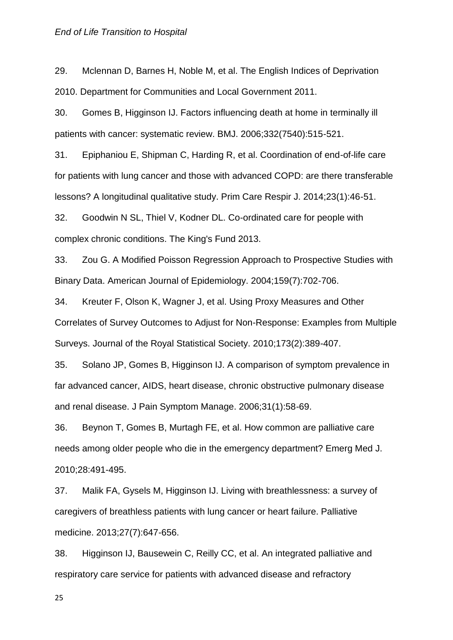<span id="page-24-0"></span>29. Mclennan D, Barnes H, Noble M, et al. The English Indices of Deprivation 2010. Department for Communities and Local Government 2011.

<span id="page-24-1"></span>30. Gomes B, Higginson IJ. Factors influencing death at home in terminally ill patients with cancer: systematic review. BMJ. 2006;332(7540):515-521.

<span id="page-24-2"></span>31. Epiphaniou E, Shipman C, Harding R, et al. Coordination of end-of-life care for patients with lung cancer and those with advanced COPD: are there transferable lessons? A longitudinal qualitative study. Prim Care Respir J. 2014;23(1):46-51.

<span id="page-24-3"></span>32. Goodwin N SL, Thiel V, Kodner DL. Co-ordinated care for people with complex chronic conditions. The King's Fund 2013.

<span id="page-24-4"></span>33. Zou G. A Modified Poisson Regression Approach to Prospective Studies with Binary Data. American Journal of Epidemiology. 2004;159(7):702-706.

<span id="page-24-5"></span>34. Kreuter F, Olson K, Wagner J, et al. Using Proxy Measures and Other Correlates of Survey Outcomes to Adjust for Non-Response: Examples from Multiple Surveys. Journal of the Royal Statistical Society. 2010;173(2):389-407.

<span id="page-24-6"></span>35. Solano JP, Gomes B, Higginson IJ. A comparison of symptom prevalence in far advanced cancer, AIDS, heart disease, chronic obstructive pulmonary disease and renal disease. J Pain Symptom Manage. 2006;31(1):58-69.

<span id="page-24-7"></span>36. Beynon T, Gomes B, Murtagh FE, et al. How common are palliative care needs among older people who die in the emergency department? Emerg Med J. 2010;28:491-495.

<span id="page-24-8"></span>37. Malik FA, Gysels M, Higginson IJ. Living with breathlessness: a survey of caregivers of breathless patients with lung cancer or heart failure. Palliative medicine. 2013;27(7):647-656.

<span id="page-24-9"></span>38. Higginson IJ, Bausewein C, Reilly CC, et al. An integrated palliative and respiratory care service for patients with advanced disease and refractory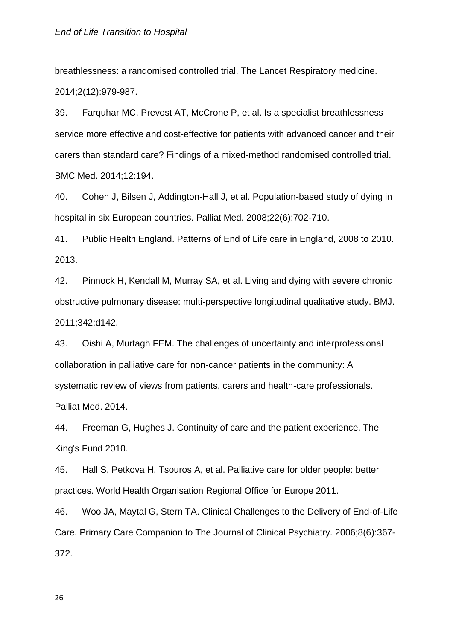breathlessness: a randomised controlled trial. The Lancet Respiratory medicine. 2014;2(12):979-987.

<span id="page-25-0"></span>39. Farquhar MC, Prevost AT, McCrone P, et al. Is a specialist breathlessness service more effective and cost-effective for patients with advanced cancer and their carers than standard care? Findings of a mixed-method randomised controlled trial. BMC Med. 2014;12:194.

<span id="page-25-1"></span>40. Cohen J, Bilsen J, Addington-Hall J, et al. Population-based study of dying in hospital in six European countries. Palliat Med. 2008;22(6):702-710.

<span id="page-25-2"></span>41. Public Health England. Patterns of End of Life care in England, 2008 to 2010. 2013.

<span id="page-25-3"></span>42. Pinnock H, Kendall M, Murray SA, et al. Living and dying with severe chronic obstructive pulmonary disease: multi-perspective longitudinal qualitative study. BMJ. 2011;342:d142.

<span id="page-25-4"></span>43. Oishi A, Murtagh FEM. The challenges of uncertainty and interprofessional collaboration in palliative care for non-cancer patients in the community: A systematic review of views from patients, carers and health-care professionals. Palliat Med. 2014.

<span id="page-25-5"></span>44. Freeman G, Hughes J. Continuity of care and the patient experience. The King's Fund 2010.

<span id="page-25-6"></span>45. Hall S, Petkova H, Tsouros A, et al. Palliative care for older people: better practices. World Health Organisation Regional Office for Europe 2011.

<span id="page-25-7"></span>46. Woo JA, Maytal G, Stern TA. Clinical Challenges to the Delivery of End-of-Life Care. Primary Care Companion to The Journal of Clinical Psychiatry. 2006;8(6):367- 372.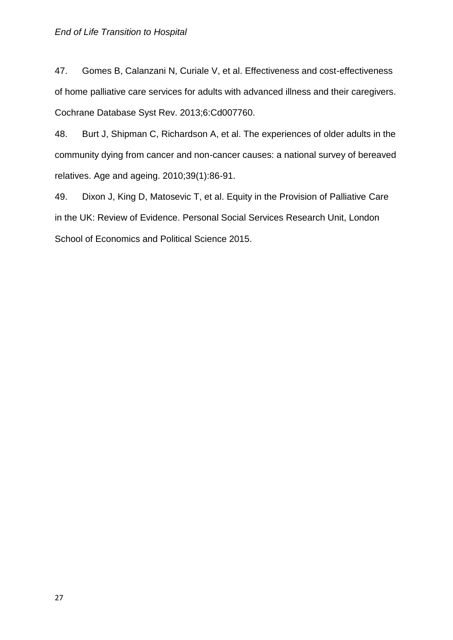<span id="page-26-0"></span>47. Gomes B, Calanzani N, Curiale V, et al. Effectiveness and cost-effectiveness of home palliative care services for adults with advanced illness and their caregivers. Cochrane Database Syst Rev. 2013;6:Cd007760.

<span id="page-26-1"></span>48. Burt J, Shipman C, Richardson A, et al. The experiences of older adults in the community dying from cancer and non-cancer causes: a national survey of bereaved relatives. Age and ageing. 2010;39(1):86-91.

<span id="page-26-2"></span>49. Dixon J, King D, Matosevic T, et al. Equity in the Provision of Palliative Care in the UK: Review of Evidence. Personal Social Services Research Unit, London School of Economics and Political Science 2015.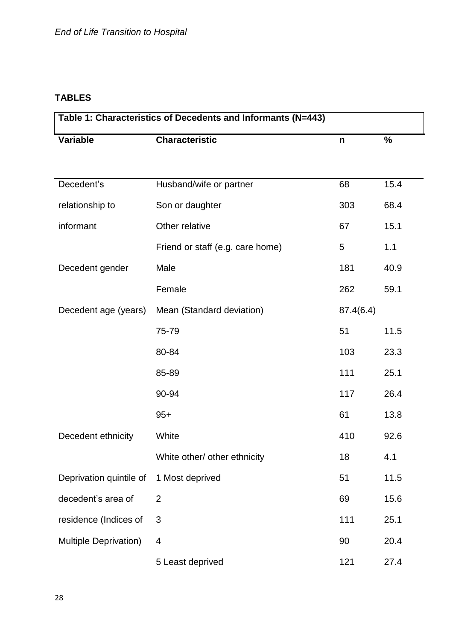# **TABLES**

| Table 1: Characteristics of Decedents and Informants (N=443) |                                  |              |               |  |  |  |  |
|--------------------------------------------------------------|----------------------------------|--------------|---------------|--|--|--|--|
| <b>Variable</b>                                              | <b>Characteristic</b>            | $\mathsf{n}$ | $\frac{9}{6}$ |  |  |  |  |
|                                                              |                                  |              |               |  |  |  |  |
| Decedent's                                                   | Husband/wife or partner          | 68           | 15.4          |  |  |  |  |
| relationship to                                              | Son or daughter                  | 303          | 68.4          |  |  |  |  |
| informant                                                    | Other relative                   | 67           | 15.1          |  |  |  |  |
|                                                              | Friend or staff (e.g. care home) | 5            | 1.1           |  |  |  |  |
| Decedent gender                                              | Male                             | 181          | 40.9          |  |  |  |  |
|                                                              | Female                           | 262          | 59.1          |  |  |  |  |
| Decedent age (years)                                         | Mean (Standard deviation)        | 87.4(6.4)    |               |  |  |  |  |
|                                                              | 75-79                            | 51           | 11.5          |  |  |  |  |
|                                                              | 80-84                            | 103          | 23.3          |  |  |  |  |
|                                                              | 85-89                            | 111          | 25.1          |  |  |  |  |
|                                                              | 90-94                            | 117          | 26.4          |  |  |  |  |
|                                                              | $95+$                            | 61           | 13.8          |  |  |  |  |
| Decedent ethnicity                                           | White                            | 410          | 92.6          |  |  |  |  |
|                                                              | White other/ other ethnicity     | 18           | 4.1           |  |  |  |  |
| Deprivation quintile of                                      | 1 Most deprived                  | 51           | 11.5          |  |  |  |  |
| decedent's area of                                           | $\overline{2}$                   | 69           | 15.6          |  |  |  |  |
| residence (Indices of                                        | 3                                | 111          | 25.1          |  |  |  |  |
| <b>Multiple Deprivation)</b>                                 | 4                                | 90           | 20.4          |  |  |  |  |
|                                                              | 5 Least deprived                 | 121          | 27.4          |  |  |  |  |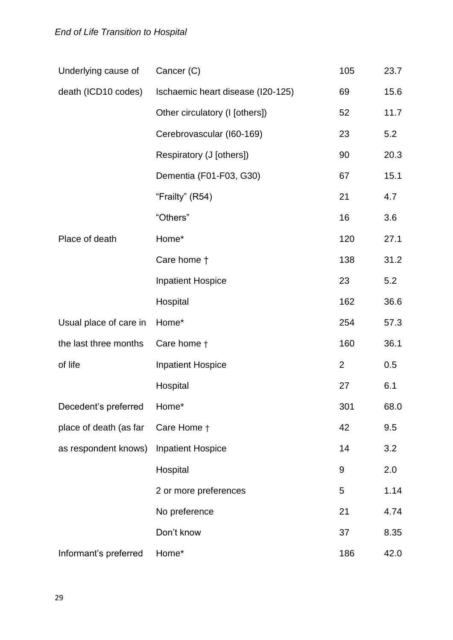| Underlying cause of        | Cancer (C)                        | 105            | 23.7 |
|----------------------------|-----------------------------------|----------------|------|
| death (ICD10 codes)        | Ischaemic heart disease (I20-125) | 69             | 15.6 |
|                            | Other circulatory (I [others])    | 52             | 11.7 |
|                            | Cerebrovascular (I60-169)         | 23             | 5.2  |
|                            | Respiratory (J [others])          | 90             | 20.3 |
|                            | Dementia (F01-F03, G30)           | 67             | 15.1 |
|                            | "Frailty" (R54)                   | 21             | 4.7  |
|                            | "Others"                          | 16             | 3.6  |
| Place of death             | Home*                             | 120            | 27.1 |
|                            | Care home +                       | 138            | 31.2 |
|                            | <b>Inpatient Hospice</b>          | 23             | 5.2  |
|                            | Hospital                          | 162            | 36.6 |
| Usual place of care in     | Home*                             | 254            | 57.3 |
| the last three months      | Care home +                       | 160            | 36.1 |
| of life                    | <b>Inpatient Hospice</b>          | $\overline{2}$ | 0.5  |
|                            | Hospital                          | 27             | 6.1  |
| Decedent's preferred Home* |                                   | 301            | 68.0 |
| place of death (as far     | Care Home +                       | 42             | 9.5  |
| as respondent knows)       | <b>Inpatient Hospice</b>          | 14             | 3.2  |
|                            | Hospital                          | 9              | 2.0  |
|                            | 2 or more preferences             | 5              | 1.14 |
|                            | No preference                     | 21             | 4.74 |
|                            | Don't know                        | 37             | 8.35 |
| Informant's preferred      | Home*                             | 186            | 42.0 |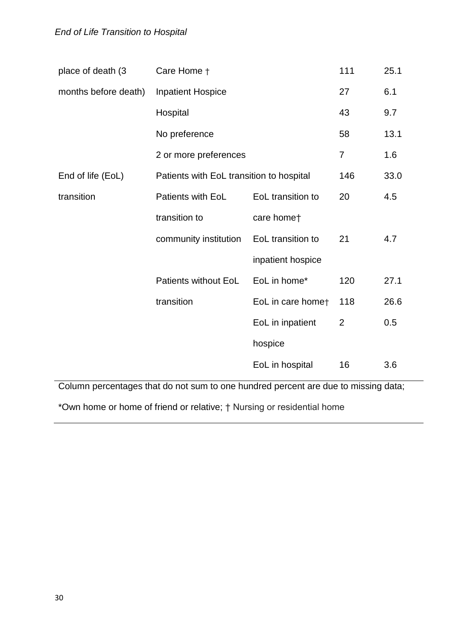| place of death (3    | Care Home +                              |                   | 111            | 25.1 |
|----------------------|------------------------------------------|-------------------|----------------|------|
| months before death) | <b>Inpatient Hospice</b>                 |                   | 27             | 6.1  |
|                      | Hospital                                 |                   | 43             | 9.7  |
|                      | No preference                            |                   | 58             | 13.1 |
|                      | 2 or more preferences                    | $\overline{7}$    | 1.6            |      |
| End of life (EoL)    | Patients with EoL transition to hospital | 146               | 33.0           |      |
| transition           | Patients with EoL                        | EoL transition to | 20             | 4.5  |
|                      | transition to                            | care homet        |                |      |
|                      | community institution                    | EoL transition to | 21             | 4.7  |
|                      |                                          | inpatient hospice |                |      |
|                      | <b>Patients without EoL</b>              | EoL in home*      | 120            | 27.1 |
|                      | transition                               | EoL in care homet | 118            | 26.6 |
|                      |                                          | EoL in inpatient  | $\overline{2}$ | 0.5  |
|                      |                                          | hospice           |                |      |
|                      |                                          | EoL in hospital   | 16             | 3.6  |

Column percentages that do not sum to one hundred percent are due to missing data;

\*Own home or home of friend or relative; † Nursing or residential home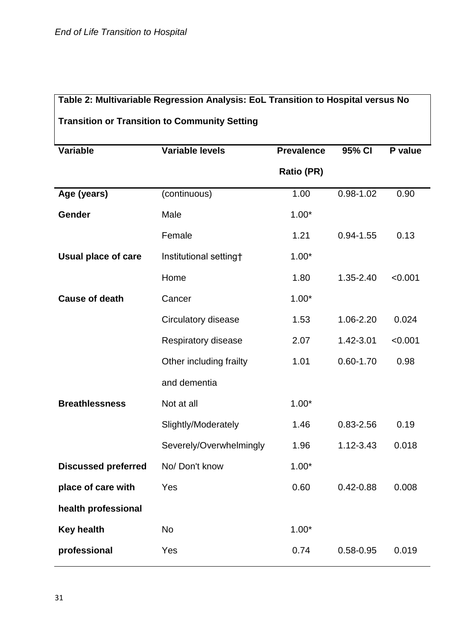# **Table 2: Multivariable Regression Analysis: EoL Transition to Hospital versus No**

# **Transition or Transition to Community Setting**

| <b>Variable</b>            | <b>Variable levels</b>  | <b>Prevalence</b> | 95% CI        | P value |
|----------------------------|-------------------------|-------------------|---------------|---------|
|                            |                         | <b>Ratio (PR)</b> |               |         |
| Age (years)                | (continuous)            | 1.00              | $0.98 - 1.02$ | 0.90    |
| Gender                     | Male                    | $1.00*$           |               |         |
|                            | Female                  | 1.21              | $0.94 - 1.55$ | 0.13    |
| <b>Usual place of care</b> | Institutional setting†  | $1.00*$           |               |         |
|                            | Home                    | 1.80              | 1.35-2.40     | < 0.001 |
| <b>Cause of death</b>      | Cancer                  | $1.00*$           |               |         |
|                            | Circulatory disease     | 1.53              | 1.06-2.20     | 0.024   |
|                            | Respiratory disease     | 2.07              | 1.42-3.01     | < 0.001 |
|                            | Other including frailty | 1.01              | $0.60 - 1.70$ | 0.98    |
|                            | and dementia            |                   |               |         |
| <b>Breathlessness</b>      | Not at all              | $1.00*$           |               |         |
|                            | Slightly/Moderately     | 1.46              | 0.83-2.56     | 0.19    |
|                            | Severely/Overwhelmingly | 1.96              | 1.12-3.43     | 0.018   |
| <b>Discussed preferred</b> | No/Don't know           | $1.00*$           |               |         |
| place of care with         | Yes                     | 0.60              | $0.42 - 0.88$ | 0.008   |
| health professional        |                         |                   |               |         |
| <b>Key health</b>          | <b>No</b>               | $1.00*$           |               |         |
| professional               | Yes                     | 0.74              | 0.58-0.95     | 0.019   |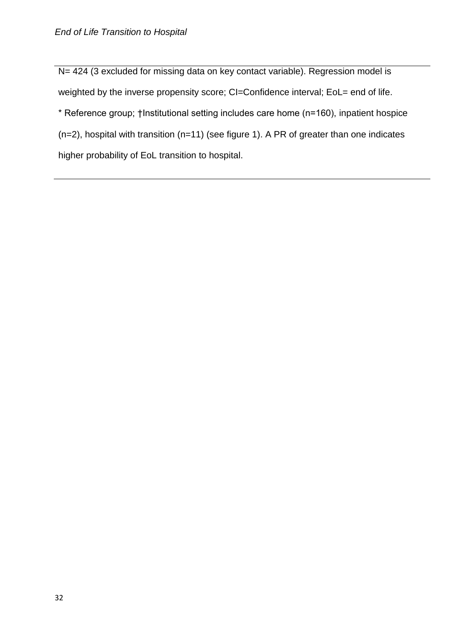N= 424 (3 excluded for missing data on key contact variable). Regression model is weighted by the inverse propensity score; CI=Confidence interval; EoL= end of life.

\* Reference group; †Institutional setting includes care home (n=160), inpatient hospice

(n=2), hospital with transition (n=11) (see figure 1). A PR of greater than one indicates

higher probability of EoL transition to hospital.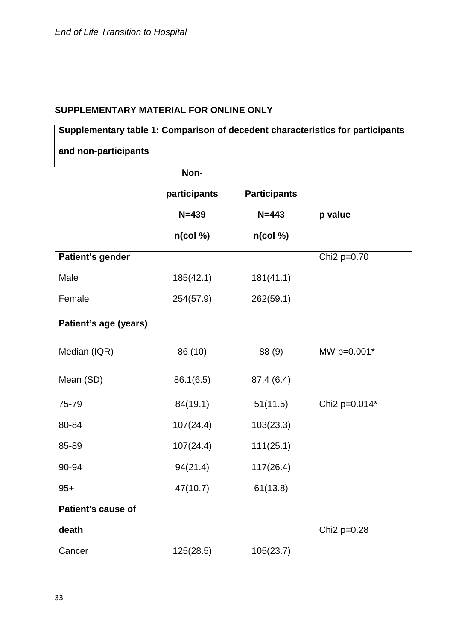## **SUPPLEMENTARY MATERIAL FOR ONLINE ONLY**

# **Supplementary table 1: Comparison of decedent characteristics for participants and non-participants**

|                       | Non-         |                     |                         |
|-----------------------|--------------|---------------------|-------------------------|
|                       | participants | <b>Participants</b> |                         |
|                       | $N = 439$    | $N = 443$           | p value                 |
|                       | $n$ (col %)  | $n$ (col %)         |                         |
| Patient's gender      |              |                     | Chi2 p=0.70             |
| Male                  | 185(42.1)    | 181(41.1)           |                         |
| Female                | 254(57.9)    | 262(59.1)           |                         |
| Patient's age (years) |              |                     |                         |
| Median (IQR)          | 86 (10)      | 88 (9)              | MW p=0.001*             |
| Mean (SD)             | 86.1(6.5)    | 87.4 (6.4)          |                         |
| 75-79                 | 84(19.1)     | 51(11.5)            | Chi2 p=0.014*           |
| 80-84                 | 107(24.4)    | 103(23.3)           |                         |
| 85-89                 | 107(24.4)    | 111(25.1)           |                         |
| 90-94                 | 94(21.4)     | 117(26.4)           |                         |
| $95+$                 | 47(10.7)     | 61(13.8)            |                         |
| Patient's cause of    |              |                     |                         |
| death                 |              |                     | Chi <sub>2</sub> p=0.28 |
| Cancer                | 125(28.5)    | 105(23.7)           |                         |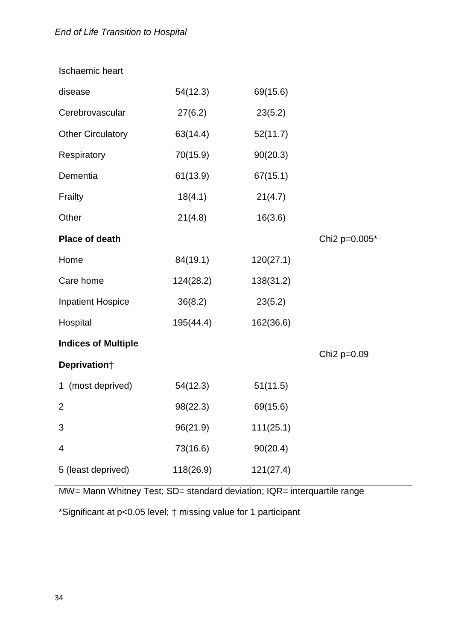| <b>Ischaemic heart</b>     |           |           |                         |
|----------------------------|-----------|-----------|-------------------------|
| disease                    | 54(12.3)  | 69(15.6)  |                         |
| Cerebrovascular            | 27(6.2)   | 23(5.2)   |                         |
| <b>Other Circulatory</b>   | 63(14.4)  | 52(11.7)  |                         |
| Respiratory                | 70(15.9)  | 90(20.3)  |                         |
| Dementia                   | 61(13.9)  | 67(15.1)  |                         |
| Frailty                    | 18(4.1)   | 21(4.7)   |                         |
| Other                      | 21(4.8)   | 16(3.6)   |                         |
| <b>Place of death</b>      |           |           | Chi2 p=0.005*           |
| Home                       | 84(19.1)  | 120(27.1) |                         |
| Care home                  | 124(28.2) | 138(31.2) |                         |
| <b>Inpatient Hospice</b>   | 36(8.2)   | 23(5.2)   |                         |
| Hospital                   | 195(44.4) | 162(36.6) |                         |
| <b>Indices of Multiple</b> |           |           |                         |
| Deprivation <sup>+</sup>   |           |           | Chi <sub>2</sub> p=0.09 |
| 1 (most deprived)          | 54(12.3)  | 51(11.5)  |                         |
| $\overline{2}$             | 98(22.3)  | 69(15.6)  |                         |
| 3                          | 96(21.9)  | 111(25.1) |                         |
| 4                          | 73(16.6)  | 90(20.4)  |                         |
| 5 (least deprived)         | 118(26.9) | 121(27.4) |                         |
|                            |           |           |                         |

MW= Mann Whitney Test; SD= standard deviation; IQR= interquartile range

\*Significant at p<0.05 level; † missing value for 1 participant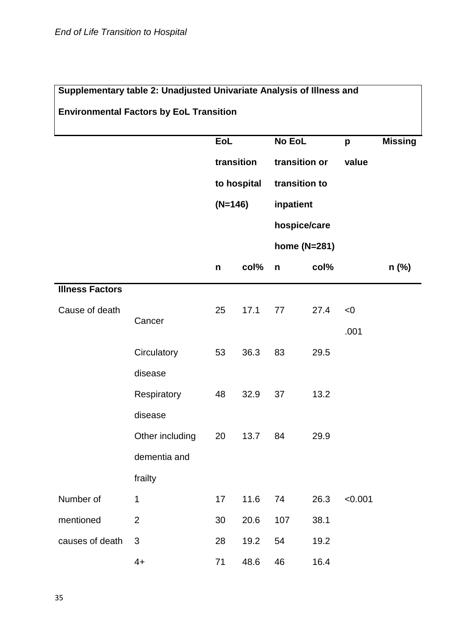| Supplementary table 2: Unadjusted Univariate Analysis of Illness and |                                                |             |      |               |      |         |                |  |  |
|----------------------------------------------------------------------|------------------------------------------------|-------------|------|---------------|------|---------|----------------|--|--|
|                                                                      | <b>Environmental Factors by EoL Transition</b> |             |      |               |      |         |                |  |  |
|                                                                      |                                                |             |      |               |      |         |                |  |  |
|                                                                      |                                                | EoL         |      | No EoL        |      | p       | <b>Missing</b> |  |  |
|                                                                      |                                                | transition  |      | transition or |      | value   |                |  |  |
|                                                                      |                                                | to hospital |      | transition to |      |         |                |  |  |
|                                                                      |                                                | $(N=146)$   |      | inpatient     |      |         |                |  |  |
|                                                                      |                                                |             |      | hospice/care  |      |         |                |  |  |
|                                                                      |                                                |             |      | home (N=281)  |      |         |                |  |  |
|                                                                      |                                                | n           | col% | $\mathsf{n}$  | col% |         | $n$ (%)        |  |  |
| <b>Illness Factors</b>                                               |                                                |             |      |               |      |         |                |  |  |
| Cause of death                                                       |                                                | 25          | 17.1 | 77            | 27.4 | < 0     |                |  |  |
|                                                                      | Cancer                                         |             |      |               |      | .001    |                |  |  |
|                                                                      | Circulatory                                    | 53          | 36.3 | 83            | 29.5 |         |                |  |  |
|                                                                      | disease                                        |             |      |               |      |         |                |  |  |
|                                                                      | Respiratory                                    | 48          | 32.9 | 37            | 13.2 |         |                |  |  |
|                                                                      | disease                                        |             |      |               |      |         |                |  |  |
|                                                                      | Other including                                | 20          | 13.7 | 84            | 29.9 |         |                |  |  |
|                                                                      | dementia and                                   |             |      |               |      |         |                |  |  |
|                                                                      | frailty                                        |             |      |               |      |         |                |  |  |
| Number of                                                            | $\mathbf 1$                                    | 17          | 11.6 | 74            | 26.3 | < 0.001 |                |  |  |
| mentioned                                                            | $\overline{2}$                                 | 30          | 20.6 | 107           | 38.1 |         |                |  |  |
| causes of death                                                      | $\mathfrak{B}$                                 | 28          | 19.2 | 54            | 19.2 |         |                |  |  |
|                                                                      | $4+$                                           | 71          | 48.6 | 46            | 16.4 |         |                |  |  |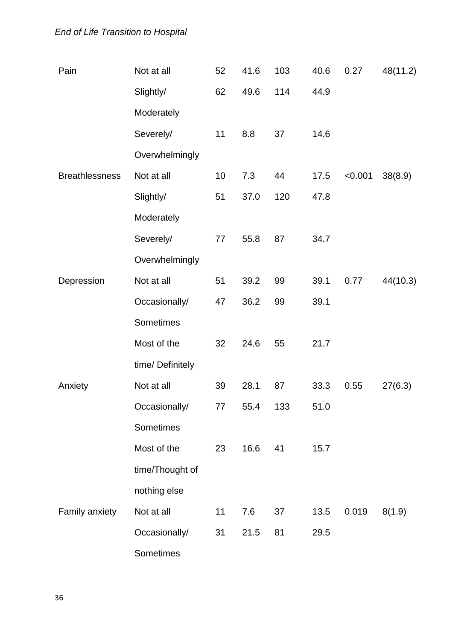# *End of Life Transition to Hospital*

| Pain                  | Not at all      | 52 | 41.6 | 103 | 40.6 | 0.27    | 48(11.2) |  |  |
|-----------------------|-----------------|----|------|-----|------|---------|----------|--|--|
|                       | Slightly/       | 62 | 49.6 | 114 | 44.9 |         |          |  |  |
|                       | Moderately      |    |      |     |      |         |          |  |  |
|                       | Severely/       | 11 | 8.8  | 37  | 14.6 |         |          |  |  |
|                       | Overwhelmingly  |    |      |     |      |         |          |  |  |
| <b>Breathlessness</b> | Not at all      | 10 | 7.3  | 44  | 17.5 | < 0.001 | 38(8.9)  |  |  |
|                       | Slightly/       | 51 | 37.0 | 120 | 47.8 |         |          |  |  |
|                       | Moderately      |    |      |     |      |         |          |  |  |
|                       | Severely/       | 77 | 55.8 | 87  | 34.7 |         |          |  |  |
|                       | Overwhelmingly  |    |      |     |      |         |          |  |  |
| Depression            | Not at all      | 51 | 39.2 | 99  | 39.1 | 0.77    | 44(10.3) |  |  |
|                       | Occasionally/   | 47 | 36.2 | 99  | 39.1 |         |          |  |  |
|                       | Sometimes       |    |      |     |      |         |          |  |  |
|                       | Most of the     | 32 | 24.6 | 55  | 21.7 |         |          |  |  |
|                       | time/Definitely |    |      |     |      |         |          |  |  |
| Anxiety               | Not at all      | 39 | 28.1 | 87  | 33.3 | 0.55    | 27(6.3)  |  |  |
|                       | Occasionally/   | 77 | 55.4 | 133 | 51.0 |         |          |  |  |
|                       | Sometimes       |    |      |     |      |         |          |  |  |
|                       | Most of the     | 23 | 16.6 | 41  | 15.7 |         |          |  |  |
|                       | time/Thought of |    |      |     |      |         |          |  |  |
|                       | nothing else    |    |      |     |      |         |          |  |  |
| Family anxiety        | Not at all      | 11 | 7.6  | 37  | 13.5 | 0.019   | 8(1.9)   |  |  |
|                       | Occasionally/   | 31 | 21.5 | 81  | 29.5 |         |          |  |  |
|                       | Sometimes       |    |      |     |      |         |          |  |  |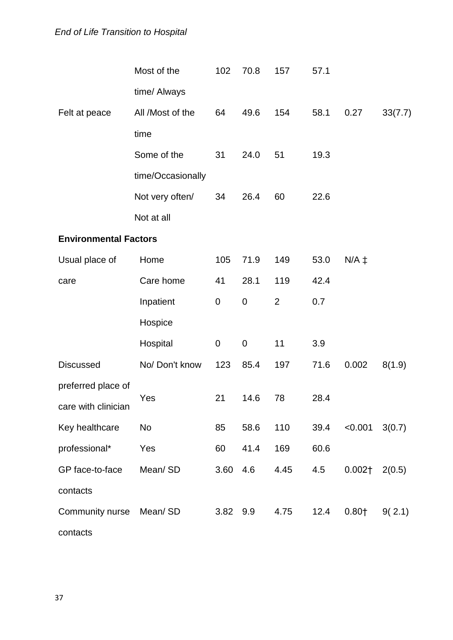# *End of Life Transition to Hospital*

|                              | Most of the       | 102       | 70.8        | 157            | 57.1 |            |         |
|------------------------------|-------------------|-----------|-------------|----------------|------|------------|---------|
|                              | time/ Always      |           |             |                |      |            |         |
| Felt at peace                | All /Most of the  | 64        | 49.6        | 154            | 58.1 | 0.27       | 33(7.7) |
|                              | time              |           |             |                |      |            |         |
|                              | Some of the       | 31        | 24.0        | 51             | 19.3 |            |         |
|                              | time/Occasionally |           |             |                |      |            |         |
|                              | Not very often/   | 34        | 26.4        | 60             | 22.6 |            |         |
|                              | Not at all        |           |             |                |      |            |         |
| <b>Environmental Factors</b> |                   |           |             |                |      |            |         |
| Usual place of               | Home              | 105       | 71.9        | 149            | 53.0 | $N/A \neq$ |         |
| care                         | Care home         | 41        | 28.1        | 119            | 42.4 |            |         |
|                              | Inpatient         | $\pmb{0}$ | $\pmb{0}$   | $\overline{2}$ | 0.7  |            |         |
|                              | Hospice           |           |             |                |      |            |         |
|                              | Hospital          | 0         | $\mathbf 0$ | 11             | 3.9  |            |         |
| <b>Discussed</b>             | No/Don't know     | 123       | 85.4        | 197            | 71.6 | 0.002      | 8(1.9)  |
| preferred place of           |                   |           |             |                |      |            |         |
| care with clinician          | Yes               | 21        | 14.6        | 78             | 28.4 |            |         |
| Key healthcare               | No                | 85        | 58.6        | 110            | 39.4 | < 0.001    | 3(0.7)  |
| professional*                | Yes               | 60        | 41.4        | 169            | 60.6 |            |         |
| GP face-to-face              | Mean/SD           | 3.60      | 4.6         | 4.45           | 4.5  | $0.002+$   | 2(0.5)  |
| contacts                     |                   |           |             |                |      |            |         |
| Community nurse              | Mean/SD           | 3.82      | 9.9         | 4.75           | 12.4 | $0.80+$    | 9(2.1)  |
| contacts                     |                   |           |             |                |      |            |         |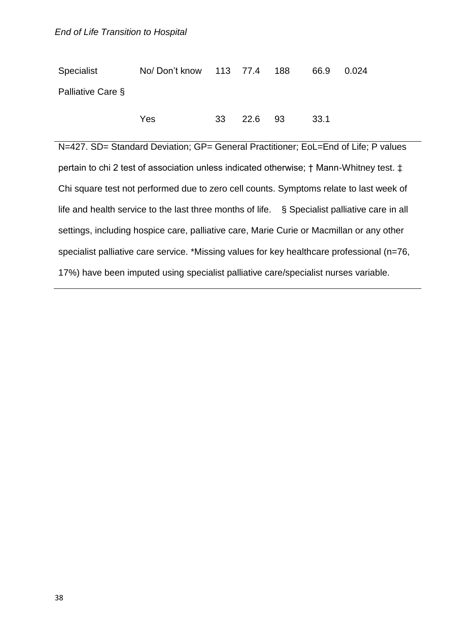| Specialist        | No/Don't know 113 77.4 188 |    |         | 66.9 | 0.024 |
|-------------------|----------------------------|----|---------|------|-------|
| Palliative Care § |                            |    |         |      |       |
|                   | Yes                        | 33 | 22.6 93 | 33.1 |       |

N=427. SD= Standard Deviation; GP= General Practitioner; EoL=End of Life; P values pertain to chi 2 test of association unless indicated otherwise; † Mann-Whitney test. ‡ Chi square test not performed due to zero cell counts. Symptoms relate to last week of life and health service to the last three months of life. § Specialist palliative care in all settings, including hospice care, palliative care, Marie Curie or Macmillan or any other specialist palliative care service. \*Missing values for key healthcare professional (n=76, 17%) have been imputed using specialist palliative care/specialist nurses variable.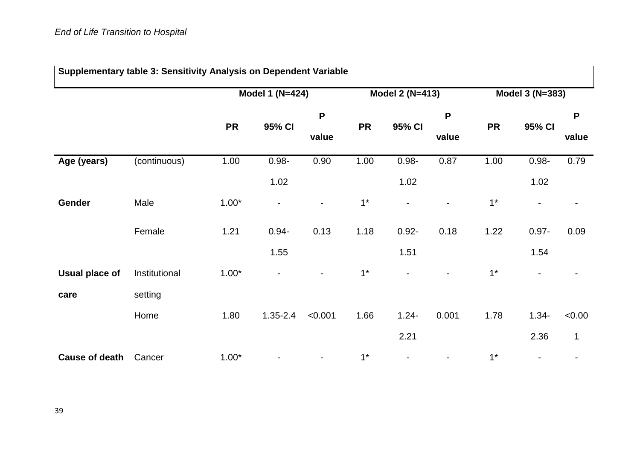| Supplementary table 3: Sensitivity Analysis on Dependent Variable |               |           |                          |                          |           |                          |                |           |                          |              |  |
|-------------------------------------------------------------------|---------------|-----------|--------------------------|--------------------------|-----------|--------------------------|----------------|-----------|--------------------------|--------------|--|
|                                                                   |               |           | <b>Model 1 (N=424)</b>   |                          |           | <b>Model 2 (N=413)</b>   |                |           | Model 3 (N=383)          |              |  |
|                                                                   |               |           |                          | P                        |           |                          | P              |           |                          | P            |  |
|                                                                   |               | <b>PR</b> | 95% CI                   | value                    | <b>PR</b> | 95% CI                   | value          | <b>PR</b> | 95% CI                   | value        |  |
| Age (years)                                                       | (continuous)  | 1.00      | $0.98 -$                 | 0.90                     | 1.00      | $0.98 -$                 | 0.87           | 1.00      | $0.98 -$                 | 0.79         |  |
|                                                                   |               |           | 1.02                     |                          |           | 1.02                     |                |           | 1.02                     |              |  |
| Gender                                                            | Male          | $1.00*$   | $\overline{\phantom{a}}$ | $\overline{\phantom{0}}$ | $1*$      | $\overline{\phantom{a}}$ | $\blacksquare$ | $1*$      | $\overline{\phantom{0}}$ |              |  |
|                                                                   | Female        | 1.21      | $0.94 -$                 | 0.13                     | 1.18      | $0.92 -$                 | 0.18           | 1.22      | $0.97 -$                 | 0.09         |  |
|                                                                   |               |           | 1.55                     |                          |           | 1.51                     |                |           | 1.54                     |              |  |
| <b>Usual place of</b>                                             | Institutional | $1.00*$   | $\blacksquare$           |                          | $1*$      | $\blacksquare$           | $\overline{a}$ | $1*$      |                          |              |  |
| care                                                              | setting       |           |                          |                          |           |                          |                |           |                          |              |  |
|                                                                   | Home          | 1.80      | $1.35 - 2.4$             | < 0.001                  | 1.66      | $1.24 -$                 | 0.001          | 1.78      | $1.34 -$                 | <0.00        |  |
|                                                                   |               |           |                          |                          |           | 2.21                     |                |           | 2.36                     | $\mathbf{1}$ |  |
| <b>Cause of death</b>                                             | Cancer        | $1.00*$   |                          |                          | $1^*$     |                          |                | $1*$      |                          |              |  |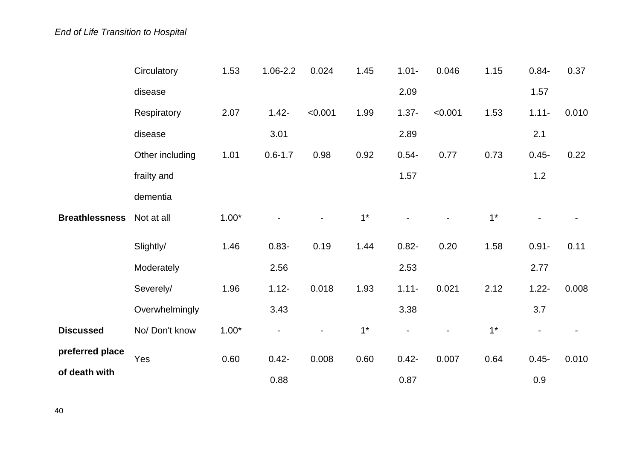|                       | Circulatory     | 1.53    | $1.06 - 2.2$ | 0.024   | 1.45  | $1.01 -$ | 0.046   | 1.15 | $0.84 -$                 | 0.37  |
|-----------------------|-----------------|---------|--------------|---------|-------|----------|---------|------|--------------------------|-------|
|                       | disease         |         |              |         |       | 2.09     |         |      | 1.57                     |       |
|                       | Respiratory     | 2.07    | $1.42 -$     | < 0.001 | 1.99  | $1.37 -$ | < 0.001 | 1.53 | $1.11 -$                 | 0.010 |
|                       | disease         |         | 3.01         |         |       | 2.89     |         |      | 2.1                      |       |
|                       | Other including | 1.01    | $0.6 - 1.7$  | 0.98    | 0.92  | $0.54 -$ | 0.77    | 0.73 | $0.45 -$                 | 0.22  |
|                       | frailty and     |         |              |         |       | 1.57     |         |      | $1.2$                    |       |
|                       | dementia        |         |              |         |       |          |         |      |                          |       |
| <b>Breathlessness</b> | Not at all      | $1.00*$ |              |         | $1^*$ |          |         | $1*$ |                          |       |
|                       | Slightly/       | 1.46    | $0.83 -$     | 0.19    | 1.44  | $0.82 -$ | 0.20    | 1.58 | $0.91 -$                 | 0.11  |
|                       | Moderately      |         | 2.56         |         |       | 2.53     |         |      | 2.77                     |       |
|                       | Severely/       | 1.96    | $1.12 -$     | 0.018   | 1.93  | $1.11 -$ | 0.021   | 2.12 | $1.22 -$                 | 0.008 |
|                       | Overwhelmingly  |         | 3.43         |         |       | 3.38     |         |      | 3.7                      |       |
| <b>Discussed</b>      | No/Don't know   | $1.00*$ |              |         | $1*$  |          |         | $1*$ | $\overline{\phantom{a}}$ |       |
| preferred place       | Yes             | 0.60    | $0.42 -$     | 0.008   | 0.60  | $0.42 -$ | 0.007   | 0.64 | $0.45 -$                 | 0.010 |
| of death with         |                 |         | 0.88         |         |       | 0.87     |         |      | 0.9                      |       |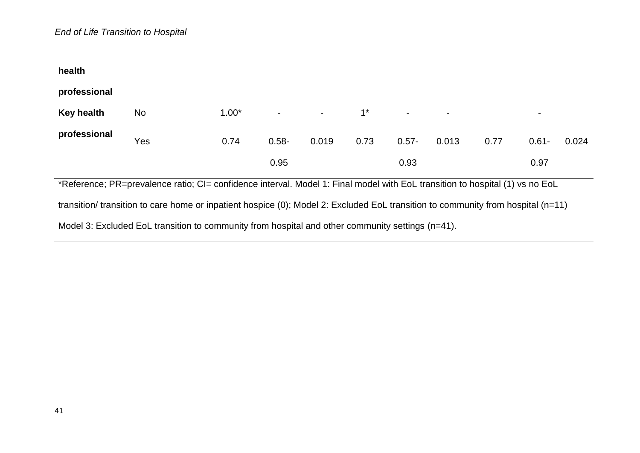| health                                                                                                                           |           |         |          |       |       |          |       |      |                |       |
|----------------------------------------------------------------------------------------------------------------------------------|-----------|---------|----------|-------|-------|----------|-------|------|----------------|-------|
| professional                                                                                                                     |           |         |          |       |       |          |       |      |                |       |
| <b>Key health</b>                                                                                                                | <b>No</b> | $1.00*$ |          |       | $1^*$ |          |       |      | $\blacksquare$ |       |
| professional                                                                                                                     | Yes       | 0.74    | $0.58 -$ | 0.019 | 0.73  | $0.57 -$ | 0.013 | 0.77 | $0.61 -$       | 0.024 |
|                                                                                                                                  |           |         | 0.95     |       |       | 0.93     |       |      | 0.97           |       |
| *Reference; PR=prevalence ratio; CI= confidence interval. Model 1: Final model with EoL transition to hospital (1) vs no EoL     |           |         |          |       |       |          |       |      |                |       |
| transition/ transition to care home or inpatient hospice (0); Model 2: Excluded EoL transition to community from hospital (n=11) |           |         |          |       |       |          |       |      |                |       |
| Model 3: Excluded EoL transition to community from hospital and other community settings (n=41).                                 |           |         |          |       |       |          |       |      |                |       |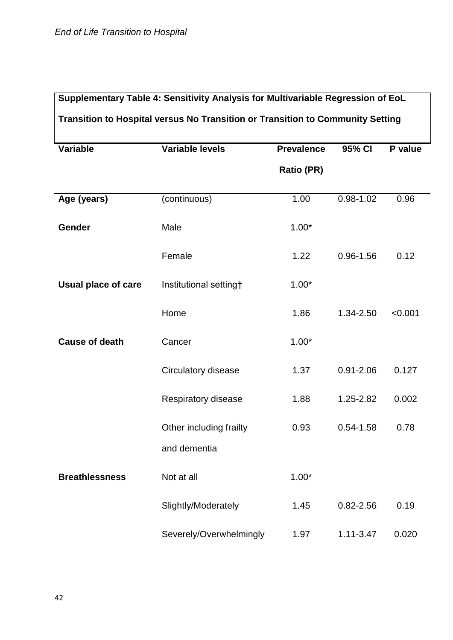| Supplementary Table 4: Sensitivity Analysis for Multivariable Regression of EoL |                         |                   |               |         |  |  |
|---------------------------------------------------------------------------------|-------------------------|-------------------|---------------|---------|--|--|
| Transition to Hospital versus No Transition or Transition to Community Setting  |                         |                   |               |         |  |  |
| <b>Variable</b>                                                                 | <b>Variable levels</b>  | <b>Prevalence</b> | 95% CI        | P value |  |  |
|                                                                                 |                         | <b>Ratio (PR)</b> |               |         |  |  |
| Age (years)                                                                     | (continuous)            | 1.00              | $0.98 - 1.02$ | 0.96    |  |  |
|                                                                                 |                         |                   |               |         |  |  |
| Gender                                                                          | Male                    | $1.00*$           |               |         |  |  |
|                                                                                 | Female                  | 1.22              | $0.96 - 1.56$ | 0.12    |  |  |
| <b>Usual place of care</b>                                                      | Institutional setting†  | $1.00*$           |               |         |  |  |
|                                                                                 | Home                    | 1.86              | 1.34-2.50     | < 0.001 |  |  |
| <b>Cause of death</b>                                                           | Cancer                  | $1.00*$           |               |         |  |  |
|                                                                                 | Circulatory disease     | 1.37              | $0.91 - 2.06$ | 0.127   |  |  |
|                                                                                 | Respiratory disease     | 1.88              | 1.25-2.82     | 0.002   |  |  |
|                                                                                 | Other including frailty | 0.93              | $0.54 - 1.58$ | 0.78    |  |  |
|                                                                                 | and dementia            |                   |               |         |  |  |
| <b>Breathlessness</b>                                                           | Not at all              | $1.00*$           |               |         |  |  |
|                                                                                 | Slightly/Moderately     | 1.45              | $0.82 - 2.56$ | 0.19    |  |  |
|                                                                                 | Severely/Overwhelmingly | 1.97              | $1.11 - 3.47$ | 0.020   |  |  |